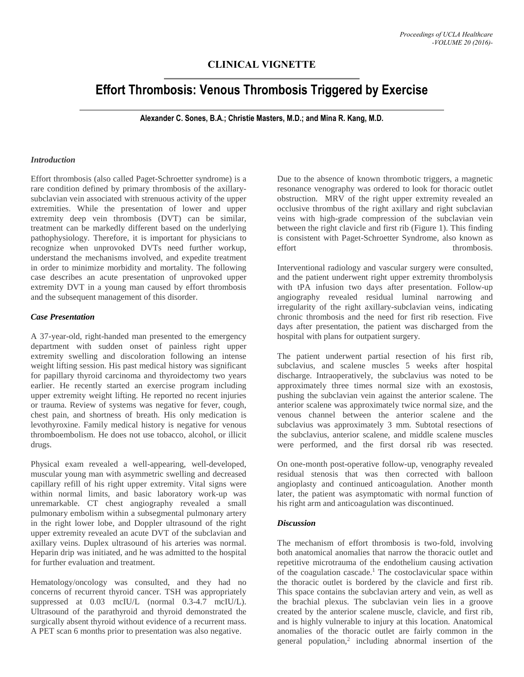## **CLINICAL VIGNETTE**

# **Effort Thrombosis: Venous Thrombosis Triggered by Exercise**

**Alexander C. Sones, B.A.; Christie Masters, M.D.; and Mina R. Kang, M.D.**

#### *Introduction*

Effort thrombosis (also called Paget-Schroetter syndrome) is a rare condition defined by primary thrombosis of the axillarysubclavian vein associated with strenuous activity of the upper extremities. While the presentation of lower and upper extremity deep vein thrombosis (DVT) can be similar, treatment can be markedly different based on the underlying pathophysiology. Therefore, it is important for physicians to recognize when unprovoked DVTs need further workup, understand the mechanisms involved, and expedite treatment in order to minimize morbidity and mortality. The following case describes an acute presentation of unprovoked upper extremity DVT in a young man caused by effort thrombosis and the subsequent management of this disorder.

### *Case Presentation*

A 37-year-old, right-handed man presented to the emergency department with sudden onset of painless right upper extremity swelling and discoloration following an intense weight lifting session. His past medical history was significant for papillary thyroid carcinoma and thyroidectomy two years earlier. He recently started an exercise program including upper extremity weight lifting. He reported no recent injuries or trauma. Review of systems was negative for fever, cough, chest pain, and shortness of breath. His only medication is levothyroxine. Family medical history is negative for venous thromboembolism. He does not use tobacco, alcohol, or illicit drugs.

Physical exam revealed a well-appearing, well-developed, muscular young man with asymmetric swelling and decreased capillary refill of his right upper extremity. Vital signs were within normal limits, and basic laboratory work-up was unremarkable. CT chest angiography revealed a small pulmonary embolism within a subsegmental pulmonary artery in the right lower lobe, and Doppler ultrasound of the right upper extremity revealed an acute DVT of the subclavian and axillary veins. Duplex ultrasound of his arteries was normal. Heparin drip was initiated, and he was admitted to the hospital for further evaluation and treatment.

Hematology/oncology was consulted, and they had no concerns of recurrent thyroid cancer. TSH was appropriately suppressed at 0.03 mcIU/L (normal 0.3-4.7 mcIU/L). Ultrasound of the parathyroid and thyroid demonstrated the surgically absent thyroid without evidence of a recurrent mass. A PET scan 6 months prior to presentation was also negative.

Due to the absence of known thrombotic triggers, a magnetic resonance venography was ordered to look for thoracic outlet obstruction. MRV of the right upper extremity revealed an occlusive thrombus of the right axillary and right subclavian veins with high-grade compression of the subclavian vein between the right clavicle and first rib (Figure 1). This finding is consistent with Paget-Schroetter Syndrome, also known as effort thrombosis.

Interventional radiology and vascular surgery were consulted, and the patient underwent right upper extremity thrombolysis with tPA infusion two days after presentation. Follow-up angiography revealed residual luminal narrowing and irregularity of the right axillary-subclavian veins, indicating chronic thrombosis and the need for first rib resection. Five days after presentation, the patient was discharged from the hospital with plans for outpatient surgery.

The patient underwent partial resection of his first rib, subclavius, and scalene muscles 5 weeks after hospital discharge. Intraoperatively, the subclavius was noted to be approximately three times normal size with an exostosis, pushing the subclavian vein against the anterior scalene. The anterior scalene was approximately twice normal size, and the venous channel between the anterior scalene and the subclavius was approximately 3 mm. Subtotal resections of the subclavius, anterior scalene, and middle scalene muscles were performed, and the first dorsal rib was resected.

On one-month post-operative follow-up, venography revealed residual stenosis that was then corrected with balloon angioplasty and continued anticoagulation. Another month later, the patient was asymptomatic with normal function of his right arm and anticoagulation was discontinued.

#### *Discussion*

The mechanism of effort thrombosis is two-fold, involving both anatomical anomalies that narrow the thoracic outlet and repetitive microtrauma of the endothelium causing activation of the coagulation cascade.<sup>1</sup> The costoclavicular space within the thoracic outlet is bordered by the clavicle and first rib. This space contains the subclavian artery and vein, as well as the brachial plexus. The subclavian vein lies in a groove created by the anterior scalene muscle, clavicle, and first rib, and is highly vulnerable to injury at this location. Anatomical anomalies of the thoracic outlet are fairly common in the general population,<sup>2</sup> including abnormal insertion of the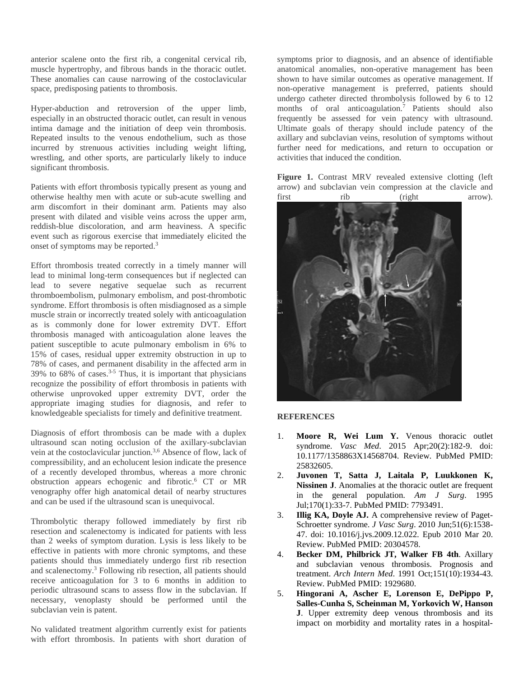anterior scalene onto the first rib, a congenital cervical rib, muscle hypertrophy, and fibrous bands in the thoracic outlet. These anomalies can cause narrowing of the costoclavicular space, predisposing patients to thrombosis.

Hyper-abduction and retroversion of the upper limb, especially in an obstructed thoracic outlet, can result in venous intima damage and the initiation of deep vein thrombosis. Repeated insults to the venous endothelium, such as those incurred by strenuous activities including weight lifting, wrestling, and other sports, are particularly likely to induce significant thrombosis.

Patients with effort thrombosis typically present as young and otherwise healthy men with acute or sub-acute swelling and arm discomfort in their dominant arm. Patients may also present with dilated and visible veins across the upper arm, reddish-blue discoloration, and arm heaviness. A specific event such as rigorous exercise that immediately elicited the onset of symptoms may be reported.<sup>3</sup>

Effort thrombosis treated correctly in a timely manner will lead to minimal long-term consequences but if neglected can lead to severe negative sequelae such as recurrent thromboembolism, pulmonary embolism, and post-thrombotic syndrome. Effort thrombosis is often misdiagnosed as a simple muscle strain or incorrectly treated solely with anticoagulation as is commonly done for lower extremity DVT. Effort thrombosis managed with anticoagulation alone leaves the patient susceptible to acute pulmonary embolism in 6% to 15% of cases, residual upper extremity obstruction in up to 78% of cases, and permanent disability in the affected arm in 39% to 68% of cases.<sup>3-5</sup> Thus, it is important that physicians recognize the possibility of effort thrombosis in patients with otherwise unprovoked upper extremity DVT, order the appropriate imaging studies for diagnosis, and refer to knowledgeable specialists for timely and definitive treatment.

Diagnosis of effort thrombosis can be made with a duplex ultrasound scan noting occlusion of the axillary-subclavian vein at the costoclavicular junction.3,6 Absence of flow, lack of compressibility, and an echolucent lesion indicate the presence of a recently developed thrombus, whereas a more chronic obstruction appears echogenic and fibrotic.<sup>6</sup> CT or MR venography offer high anatomical detail of nearby structures and can be used if the ultrasound scan is unequivocal.

Thrombolytic therapy followed immediately by first rib resection and scalenectomy is indicated for patients with less than 2 weeks of symptom duration. Lysis is less likely to be effective in patients with more chronic symptoms, and these patients should thus immediately undergo first rib resection and scalenectomy.<sup>3</sup> Following rib resection, all patients should receive anticoagulation for 3 to 6 months in addition to periodic ultrasound scans to assess flow in the subclavian. If necessary, venoplasty should be performed until the subclavian vein is patent.

No validated treatment algorithm currently exist for patients with effort thrombosis. In patients with short duration of

symptoms prior to diagnosis, and an absence of identifiable anatomical anomalies, non-operative management has been shown to have similar outcomes as operative management. If non-operative management is preferred, patients should undergo catheter directed thrombolysis followed by 6 to 12 months of oral anticoagulation.<sup>7</sup> Patients should also frequently be assessed for vein patency with ultrasound. Ultimate goals of therapy should include patency of the axillary and subclavian veins, resolution of symptoms without further need for medications, and return to occupation or activities that induced the condition.

**Figure 1.** Contrast MRV revealed extensive clotting (left arrow) and subclavian vein compression at the clavicle and first rib (right arrow).



#### **REFERENCES**

- 1. **Moore R, Wei Lum Y.** Venous thoracic outlet syndrome. *Vasc Med*. 2015 Apr;20(2):182-9. doi: 10.1177/1358863X14568704. Review. PubMed PMID: 25832605.
- 2. **Juvonen T, Satta J, Laitala P, Luukkonen K, Nissinen J**. Anomalies at the thoracic outlet are frequent in the general population. *Am J Surg*. 1995 Jul;170(1):33-7. PubMed PMID: 7793491.
- 3. **Illig KA, Doyle AJ.** A comprehensive review of Paget-Schroetter syndrome. *J Vasc Surg*. 2010 Jun;51(6):1538- 47. doi: 10.1016/j.jvs.2009.12.022. Epub 2010 Mar 20. Review. PubMed PMID: 20304578.
- 4. **Becker DM, Philbrick JT, Walker FB 4th**. Axillary and subclavian venous thrombosis. Prognosis and treatment. *Arch Intern Med*. 1991 Oct;151(10):1934-43. Review. PubMed PMID: 1929680.
- 5. **Hingorani A, Ascher E, Lorenson E, DePippo P, Salles-Cunha S, Scheinman M, Yorkovich W, Hanson J**. Upper extremity deep venous thrombosis and its impact on morbidity and mortality rates in a hospital-